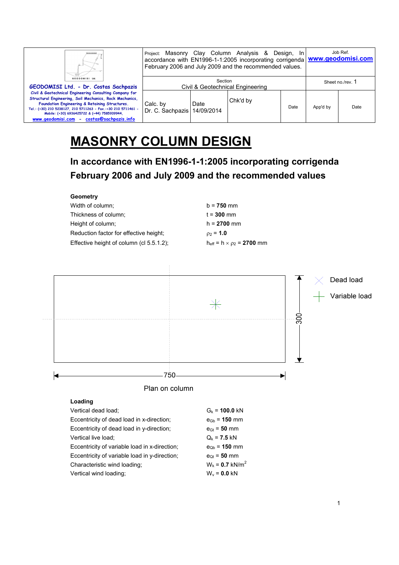| Ш                                                                                                                                                                                                                                                                                                                                  | Project: Masonry Clay Column Analysis &<br>Design, In<br>accordance with EN1996-1-1:2005 incorporating corrigenda   www.geodomisi.com<br>February 2006 and July 2009 and the recommended values.<br>Section<br>Civil & Geotechnical Engineering |      |          |      | Job Ref.         |      |  |
|------------------------------------------------------------------------------------------------------------------------------------------------------------------------------------------------------------------------------------------------------------------------------------------------------------------------------------|-------------------------------------------------------------------------------------------------------------------------------------------------------------------------------------------------------------------------------------------------|------|----------|------|------------------|------|--|
| GEODOMISI Ltd.<br>GEODOMISI Ltd. - Dr. Costas Sachpazis                                                                                                                                                                                                                                                                            |                                                                                                                                                                                                                                                 |      |          |      | Sheet no./rev. 1 |      |  |
| Civil & Geotechnical Engineering Consulting Company for<br>Structural Engineering, Soil Mechanics, Rock Mechanics,<br>Foundation Engineering & Retaining Structures.<br>Tel.: (+30) 210 5238127, 210 5711263 - Fax.:+30 210 5711461 -<br>Mobile: (+30) 6936425722 & (+44) 7585939944,<br>www.geodomisi.com - costas@sachpazis.info | Calc. by<br>Dr. C. Sachpazis   14/09/2014                                                                                                                                                                                                       | Date | Chk'd by | Date | App'd by         | Date |  |

## **MASONRY COLUMN DESIGN**

**In accordance with EN1996-1-1:2005 incorporating corrigenda February 2006 and July 2009 and the recommended values** 

| Geometry                                 |                                              |
|------------------------------------------|----------------------------------------------|
| Width of column:                         | $b = 750$ mm                                 |
| Thickness of column;                     | $t = 300$ mm                                 |
| Height of column;                        | $h = 2700$ mm                                |
| Reduction factor for effective height:   | $_{02}$ = 1.0                                |
| Effective height of column (cl 5.5.1.2); | $h_{\text{eff}} = h \times \rho_2 = 2700$ mm |

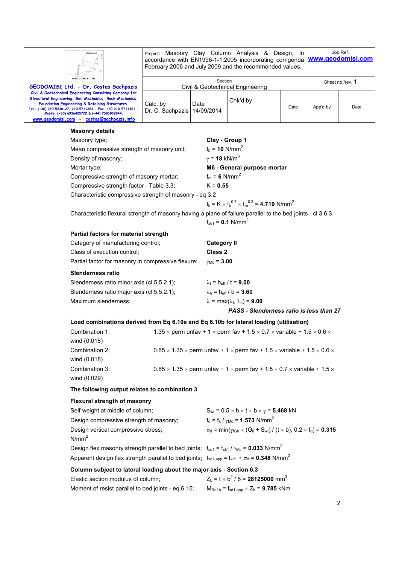|                                                                                                                                                                                                                                                                                                                                    | Project: Masonry Clay Column Analysis & Design, In<br>accordance with EN1996-1-1:2005 incorporating corrigenda<br>February 2006 and July 2009 and the recommended values. |                                                                                |                                                                                                                 | Job Ref.<br>www.geodomisi.com |                  |                |  |  |
|------------------------------------------------------------------------------------------------------------------------------------------------------------------------------------------------------------------------------------------------------------------------------------------------------------------------------------|---------------------------------------------------------------------------------------------------------------------------------------------------------------------------|--------------------------------------------------------------------------------|-----------------------------------------------------------------------------------------------------------------|-------------------------------|------------------|----------------|--|--|
| GEODOMISI Ltd<br>GEODOMISI Ltd. - Dr. Costas Sachpazis                                                                                                                                                                                                                                                                             | Section<br>Civil & Geotechnical Engineering                                                                                                                               |                                                                                |                                                                                                                 |                               | Sheet no./rev. 1 |                |  |  |
| Civil & Geotechnical Engineering Consulting Company for<br>Structural Engineering, Soil Mechanics, Rock Mechanics,<br>Foundation Engineering & Retaining Structures.<br>Tel.: (+30) 210 5238127, 210 5711263 - Fax.:+30 210 5711461 -<br>Mobile: (+30) 6936425722 & (+44) 7585939944,<br>www.geodomisi.com - costas@sachpazis.info | Calc. by<br>Dr. C. Sachpazis   14/09/2014                                                                                                                                 | Date                                                                           | Chk'd by                                                                                                        | Date                          | App'd by         | Date           |  |  |
| <b>Masonry details</b>                                                                                                                                                                                                                                                                                                             |                                                                                                                                                                           |                                                                                |                                                                                                                 |                               |                  |                |  |  |
| Masonry type;                                                                                                                                                                                                                                                                                                                      |                                                                                                                                                                           | Clay - Group 1                                                                 |                                                                                                                 |                               |                  |                |  |  |
| Mean compressive strength of masonry unit;                                                                                                                                                                                                                                                                                         |                                                                                                                                                                           | $f_b = 10 \text{ N/mm}^2$                                                      |                                                                                                                 |                               |                  |                |  |  |
| Density of masonry;                                                                                                                                                                                                                                                                                                                |                                                                                                                                                                           | $\gamma$ = 18 kN/m <sup>3</sup>                                                |                                                                                                                 |                               |                  |                |  |  |
| Mortar type;                                                                                                                                                                                                                                                                                                                       |                                                                                                                                                                           |                                                                                | M6 - General purpose mortar                                                                                     |                               |                  |                |  |  |
| Compressive strength of masonry mortar;                                                                                                                                                                                                                                                                                            |                                                                                                                                                                           |                                                                                | $f_m = 6$ N/mm <sup>2</sup>                                                                                     |                               |                  |                |  |  |
| Compressive strength factor - Table 3.3;                                                                                                                                                                                                                                                                                           | $K = 0.55$                                                                                                                                                                |                                                                                |                                                                                                                 |                               |                  |                |  |  |
| Characteristic compressive strength of masonry - eq 3.2                                                                                                                                                                                                                                                                            |                                                                                                                                                                           |                                                                                |                                                                                                                 |                               |                  |                |  |  |
|                                                                                                                                                                                                                                                                                                                                    |                                                                                                                                                                           |                                                                                | $f_k = K \times f_b^{0.7} \times f_m^{0.3} = 4.719$ N/mm <sup>2</sup>                                           |                               |                  |                |  |  |
| Characteristic flexural strength of masonry having a plane of failure parallel to the bed joints - cl 3.6.3                                                                                                                                                                                                                        |                                                                                                                                                                           |                                                                                | $f_{xk1} = 0.1$ N/mm <sup>2</sup>                                                                               |                               |                  |                |  |  |
| Partial factors for material strength                                                                                                                                                                                                                                                                                              |                                                                                                                                                                           |                                                                                |                                                                                                                 |                               |                  |                |  |  |
| Category of manufacturing control;                                                                                                                                                                                                                                                                                                 |                                                                                                                                                                           | <b>Category II</b>                                                             |                                                                                                                 |                               |                  |                |  |  |
| Class of execution control;                                                                                                                                                                                                                                                                                                        |                                                                                                                                                                           | Class 2                                                                        |                                                                                                                 |                               |                  |                |  |  |
| Partial factor for masonry in compressive flexure;                                                                                                                                                                                                                                                                                 |                                                                                                                                                                           | $\gamma_{\text{Mc}} = 3.00$                                                    |                                                                                                                 |                               |                  |                |  |  |
| <b>Slenderness ratio</b>                                                                                                                                                                                                                                                                                                           |                                                                                                                                                                           |                                                                                |                                                                                                                 |                               |                  |                |  |  |
| Slenderness ratio minor axis (cl.5.5.2.1);                                                                                                                                                                                                                                                                                         |                                                                                                                                                                           |                                                                                | $\lambda_t$ = h <sub>eff</sub> / t = 9.00                                                                       |                               |                  |                |  |  |
| Slenderness ratio major axis (cl.5.5.2.1);                                                                                                                                                                                                                                                                                         |                                                                                                                                                                           |                                                                                | $\lambda_{\rm b}$ = h <sub>eff</sub> / b = 3.60                                                                 |                               |                  |                |  |  |
| Maximum slenderness;                                                                                                                                                                                                                                                                                                               |                                                                                                                                                                           |                                                                                | $\lambda$ = max( $\lambda_t$ , $\lambda_b$ ) = <b>9.00</b>                                                      |                               |                  |                |  |  |
|                                                                                                                                                                                                                                                                                                                                    |                                                                                                                                                                           |                                                                                | PASS - Slenderness ratio is less than 27                                                                        |                               |                  |                |  |  |
| Load combinations derived from Eq 6.10a and Eq 6.10b for lateral loading (utilisation)                                                                                                                                                                                                                                             |                                                                                                                                                                           |                                                                                |                                                                                                                 |                               |                  |                |  |  |
| Combination 1;                                                                                                                                                                                                                                                                                                                     |                                                                                                                                                                           |                                                                                | 1.35 $\times$ perm unfav + 1 $\times$ perm fav + 1.5 $\times$ 0.7 $\times$ variable + 1.5 $\times$ 0.6 $\times$ |                               |                  |                |  |  |
| wind (0.018)                                                                                                                                                                                                                                                                                                                       |                                                                                                                                                                           |                                                                                |                                                                                                                 |                               |                  |                |  |  |
| Combination 2;                                                                                                                                                                                                                                                                                                                     |                                                                                                                                                                           |                                                                                | $0.85 \times 1.35 \times$ perm unfav + 1 $\times$ perm fav + 1.5 $\times$ variable + 1.5 $\times$ 0.6 $\times$  |                               |                  |                |  |  |
| wind (0.018)                                                                                                                                                                                                                                                                                                                       |                                                                                                                                                                           |                                                                                |                                                                                                                 |                               |                  |                |  |  |
| Combination 3;                                                                                                                                                                                                                                                                                                                     | $0.85 \times 1.35 \times$ perm unfav + 1 $\times$ perm fav + 1.5 $\times$ 0.7 $\times$ variable + 1.5 $\times$                                                            |                                                                                |                                                                                                                 |                               |                  |                |  |  |
| wind (0.029)                                                                                                                                                                                                                                                                                                                       |                                                                                                                                                                           |                                                                                |                                                                                                                 |                               |                  |                |  |  |
| The following output relates to combination 3                                                                                                                                                                                                                                                                                      |                                                                                                                                                                           |                                                                                |                                                                                                                 |                               |                  |                |  |  |
| Flexural strength of masonry                                                                                                                                                                                                                                                                                                       |                                                                                                                                                                           |                                                                                |                                                                                                                 |                               |                  |                |  |  |
| Self weight at middle of column;                                                                                                                                                                                                                                                                                                   | $S_{wt}$ = 0.5 $\times$ h $\times$ t $\times$ b $\times$ $\gamma$ = 5.468 kN                                                                                              |                                                                                |                                                                                                                 |                               |                  |                |  |  |
| Design compressive strength of masonry;                                                                                                                                                                                                                                                                                            |                                                                                                                                                                           |                                                                                | $f_d = f_k / \gamma_{Mc} = 1.573$ N/mm <sup>2</sup>                                                             |                               |                  |                |  |  |
| Design vertical compressive stress;                                                                                                                                                                                                                                                                                                |                                                                                                                                                                           |                                                                                | $\sigma_d = \min(\gamma_{fGh} \times (G_k + S_{wt}) / (t \times b), 0.2 \times f_d) = 0.315$                    |                               |                  |                |  |  |
| N/mm <sup>2</sup>                                                                                                                                                                                                                                                                                                                  |                                                                                                                                                                           |                                                                                |                                                                                                                 |                               |                  |                |  |  |
| Design flex masonry strength parallel to bed joints; $f_{xd1} = f_{xk1} / \gamma_{Mc} = 0.033$ N/mm <sup>2</sup>                                                                                                                                                                                                                   |                                                                                                                                                                           |                                                                                |                                                                                                                 |                               |                  |                |  |  |
|                                                                                                                                                                                                                                                                                                                                    |                                                                                                                                                                           |                                                                                | Apparent design flex strength parallel to bed joints; $f_{xd1,app} = f_{xd1} + \sigma_d = 0.348 \text{ N/mm}^2$ |                               |                  |                |  |  |
| Column subject to lateral loading about the major axis - Section 6.3                                                                                                                                                                                                                                                               |                                                                                                                                                                           |                                                                                |                                                                                                                 |                               |                  |                |  |  |
| Elastic section modulus of column;                                                                                                                                                                                                                                                                                                 |                                                                                                                                                                           |                                                                                | $Z_b = t \times b^2 / 6 = 28125000$ mm <sup>3</sup>                                                             |                               |                  |                |  |  |
| Moment of resist parallel to bed joints - eq.6.15;                                                                                                                                                                                                                                                                                 |                                                                                                                                                                           | $M_{\text{Rd1b}} = f_{\text{xd1,app}} \times Z_{\text{b}} = 9.785 \text{ kNm}$ |                                                                                                                 |                               |                  |                |  |  |
|                                                                                                                                                                                                                                                                                                                                    |                                                                                                                                                                           |                                                                                |                                                                                                                 |                               |                  | $\overline{2}$ |  |  |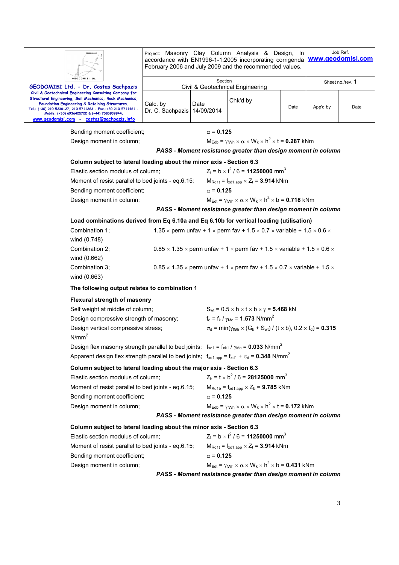|                                                                                                                                                                                                                                                                                                                                    | Project: Masonry Clay Column Analysis & Design, In<br>accordance with EN1996-1-1:2005 incorporating corrigenda<br>February 2006 and July 2009 and the recommended values. |                                                                                                                    |                                                                                                                          |      | Job Ref.<br>www.geodomisi.com |                  |  |
|------------------------------------------------------------------------------------------------------------------------------------------------------------------------------------------------------------------------------------------------------------------------------------------------------------------------------------|---------------------------------------------------------------------------------------------------------------------------------------------------------------------------|--------------------------------------------------------------------------------------------------------------------|--------------------------------------------------------------------------------------------------------------------------|------|-------------------------------|------------------|--|
| <b>GEODOMISI Ltd</b><br>GEODOMISI Ltd. - Dr. Costas Sachpazis                                                                                                                                                                                                                                                                      |                                                                                                                                                                           | Section                                                                                                            | Civil & Geotechnical Engineering                                                                                         |      |                               | Sheet no./rev. 1 |  |
| Civil & Geotechnical Engineering Consulting Company for<br>Structural Engineering, Soil Mechanics, Rock Mechanics,<br>Foundation Engineering & Retaining Structures.<br>Tel.: (+30) 210 5238127, 210 5711263 - Fax.:+30 210 5711461 -<br>Mobile: (+30) 6936425722 & (+44) 7585939944,<br>www.geodomisi.com - costas@sachpazis.info | Calc. by<br>Dr. C. Sachpazis   14/09/2014                                                                                                                                 | Date                                                                                                               | Chk'd by                                                                                                                 | Date | App'd by                      | Date             |  |
| Bending moment coefficient;                                                                                                                                                                                                                                                                                                        |                                                                                                                                                                           | $\alpha$ = 0.125                                                                                                   |                                                                                                                          |      |                               |                  |  |
| Design moment in column;                                                                                                                                                                                                                                                                                                           |                                                                                                                                                                           |                                                                                                                    | $M_{\text{Edb}} = \gamma_{\text{fWh}} \times \alpha \times W_{k} \times h^{2} \times t = 0.287$ kNm                      |      |                               |                  |  |
|                                                                                                                                                                                                                                                                                                                                    |                                                                                                                                                                           |                                                                                                                    | PASS - Moment resistance greater than design moment in column                                                            |      |                               |                  |  |
| Column subject to lateral loading about the minor axis - Section 6.3                                                                                                                                                                                                                                                               |                                                                                                                                                                           |                                                                                                                    |                                                                                                                          |      |                               |                  |  |
| Elastic section modulus of column;                                                                                                                                                                                                                                                                                                 |                                                                                                                                                                           |                                                                                                                    | $Z_t = b \times t^2 / 6 = 11250000$ mm <sup>3</sup>                                                                      |      |                               |                  |  |
| Moment of resist parallel to bed joints - eq.6.15;                                                                                                                                                                                                                                                                                 |                                                                                                                                                                           |                                                                                                                    | $M_{\text{Rd1t}} = f_{\text{xd1,app}} \times Z_t = 3.914 \text{ kNm}$                                                    |      |                               |                  |  |
| Bending moment coefficient;                                                                                                                                                                                                                                                                                                        |                                                                                                                                                                           | $\alpha$ = 0.125                                                                                                   |                                                                                                                          |      |                               |                  |  |
| Design moment in column;                                                                                                                                                                                                                                                                                                           |                                                                                                                                                                           |                                                                                                                    | $M_{\text{Edt}} = \gamma_{\text{fWh}} \times \alpha \times W_k \times h^2 \times b = 0.718$ kNm                          |      |                               |                  |  |
|                                                                                                                                                                                                                                                                                                                                    |                                                                                                                                                                           |                                                                                                                    | PASS - Moment resistance greater than design moment in column                                                            |      |                               |                  |  |
|                                                                                                                                                                                                                                                                                                                                    |                                                                                                                                                                           | Load combinations derived from Eq 6.10a and Eq 6.10b for vertical loading (utilisation)                            |                                                                                                                          |      |                               |                  |  |
| Combination 1:<br>wind (0.748)                                                                                                                                                                                                                                                                                                     |                                                                                                                                                                           |                                                                                                                    | 1.35 $\times$ perm unfav + 1 $\times$ perm fav + 1.5 $\times$ 0.7 $\times$ variable + 1.5 $\times$ 0.6 $\times$          |      |                               |                  |  |
| Combination 2;<br>wind (0.662)                                                                                                                                                                                                                                                                                                     |                                                                                                                                                                           |                                                                                                                    | $0.85 \times 1.35 \times$ perm unfav + 1 $\times$ perm fav + 1.5 $\times$ variable + 1.5 $\times$ 0.6 $\times$           |      |                               |                  |  |
| Combination 3;<br>wind (0.663)                                                                                                                                                                                                                                                                                                     |                                                                                                                                                                           |                                                                                                                    | $0.85 \times 1.35 \times$ perm unfav + 1 $\times$ perm fav + 1.5 $\times$ 0.7 $\times$ variable + 1.5 $\times$           |      |                               |                  |  |
| The following output relates to combination 1                                                                                                                                                                                                                                                                                      |                                                                                                                                                                           |                                                                                                                    |                                                                                                                          |      |                               |                  |  |
| <b>Flexural strength of masonry</b>                                                                                                                                                                                                                                                                                                |                                                                                                                                                                           |                                                                                                                    |                                                                                                                          |      |                               |                  |  |
| Self weight at middle of column;                                                                                                                                                                                                                                                                                                   |                                                                                                                                                                           |                                                                                                                    | $S_{wt}$ = 0.5 $\times$ h $\times$ t $\times$ b $\times$ $\gamma$ = <b>5.468</b> kN                                      |      |                               |                  |  |
| Design compressive strength of masonry;                                                                                                                                                                                                                                                                                            |                                                                                                                                                                           |                                                                                                                    | $f_d = f_k / \gamma_{Mc} = 1.573$ N/mm <sup>2</sup>                                                                      |      |                               |                  |  |
| Design vertical compressive stress;<br>N/mm <sup>2</sup>                                                                                                                                                                                                                                                                           |                                                                                                                                                                           |                                                                                                                    | $\sigma_d$ = min( $\gamma_{f Gh}$ × (G <sub>k</sub> + S <sub>wt</sub> ) / (t × b), 0.2 × f <sub>d</sub> ) = <b>0.315</b> |      |                               |                  |  |
| Design flex masonry strength parallel to bed joints; $f_{xd1} = f_{xk1}/\gamma_{Mc} = 0.033$ N/mm <sup>2</sup>                                                                                                                                                                                                                     |                                                                                                                                                                           |                                                                                                                    |                                                                                                                          |      |                               |                  |  |
|                                                                                                                                                                                                                                                                                                                                    |                                                                                                                                                                           | Apparent design flex strength parallel to bed joints; $f_{xd1,app} = f_{xd1} + \sigma_d = 0.348$ N/mm <sup>2</sup> |                                                                                                                          |      |                               |                  |  |
| Column subject to lateral loading about the major axis - Section 6.3                                                                                                                                                                                                                                                               |                                                                                                                                                                           |                                                                                                                    |                                                                                                                          |      |                               |                  |  |
| Elastic section modulus of column;                                                                                                                                                                                                                                                                                                 |                                                                                                                                                                           |                                                                                                                    | $Z_b = t \times b^2 / 6 = 28125000$ mm <sup>3</sup>                                                                      |      |                               |                  |  |
| Moment of resist parallel to bed joints - eq.6.15;                                                                                                                                                                                                                                                                                 |                                                                                                                                                                           |                                                                                                                    | $M_{\text{Rd1b}} = f_{xd1,app} \times Z_b = 9.785 \text{ kNm}$                                                           |      |                               |                  |  |
| Bending moment coefficient;                                                                                                                                                                                                                                                                                                        |                                                                                                                                                                           | $\alpha$ = 0.125                                                                                                   |                                                                                                                          |      |                               |                  |  |
| Design moment in column;                                                                                                                                                                                                                                                                                                           |                                                                                                                                                                           |                                                                                                                    | $M_{\text{Edb}} = \gamma_{\text{fWh}} \times \alpha \times W_k \times h^2 \times t = 0.172$ kNm                          |      |                               |                  |  |
|                                                                                                                                                                                                                                                                                                                                    | PASS - Moment resistance greater than design moment in column                                                                                                             |                                                                                                                    |                                                                                                                          |      |                               |                  |  |
|                                                                                                                                                                                                                                                                                                                                    | Column subject to lateral loading about the minor axis - Section 6.3                                                                                                      |                                                                                                                    |                                                                                                                          |      |                               |                  |  |
| Elastic section modulus of column;                                                                                                                                                                                                                                                                                                 |                                                                                                                                                                           |                                                                                                                    | $Z_t = b \times t^2 / 6 = 11250000$ mm <sup>3</sup>                                                                      |      |                               |                  |  |
| Moment of resist parallel to bed joints - eq.6.15;                                                                                                                                                                                                                                                                                 |                                                                                                                                                                           |                                                                                                                    | $M_{\text{Rd1t}} = f_{\text{xd1,app}} \times Z_t = 3.914 \text{ kNm}$                                                    |      |                               |                  |  |
| Bending moment coefficient;                                                                                                                                                                                                                                                                                                        |                                                                                                                                                                           | $\alpha$ = 0.125                                                                                                   |                                                                                                                          |      |                               |                  |  |
| Design moment in column;                                                                                                                                                                                                                                                                                                           |                                                                                                                                                                           |                                                                                                                    | $M_{\text{Edt}} = \gamma_{\text{fWh}} \times \alpha \times W_k \times h^2 \times b = 0.431$ kNm                          |      |                               |                  |  |
|                                                                                                                                                                                                                                                                                                                                    | PASS - Moment resistance greater than design moment in column                                                                                                             |                                                                                                                    |                                                                                                                          |      |                               |                  |  |
|                                                                                                                                                                                                                                                                                                                                    |                                                                                                                                                                           |                                                                                                                    |                                                                                                                          |      |                               |                  |  |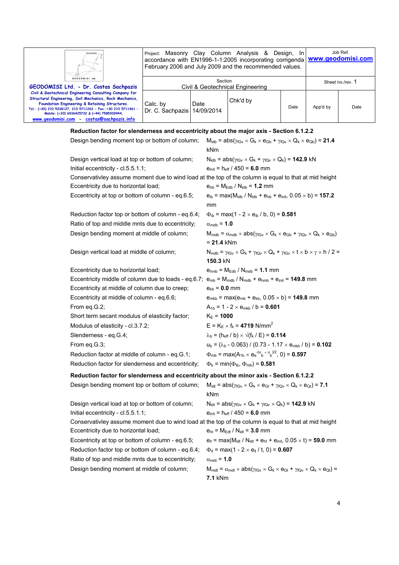| GEODOMISI Ltd.<br>Section                                                                                                                                                                                                                                                                                                                                                                                               | Ш                                     | Project: Masonry Clay Column Analysis & Design, In<br>accordance with EN1996-1-1:2005 incorporating corrigenda   www.geodomisi.com<br>February 2006 and July 2009 and the recommended values. |  |  |  |                  | Job Ref. |
|-------------------------------------------------------------------------------------------------------------------------------------------------------------------------------------------------------------------------------------------------------------------------------------------------------------------------------------------------------------------------------------------------------------------------|---------------------------------------|-----------------------------------------------------------------------------------------------------------------------------------------------------------------------------------------------|--|--|--|------------------|----------|
|                                                                                                                                                                                                                                                                                                                                                                                                                         | GEODOMISI Ltd. - Dr. Costas Sachpazis | Civil & Geotechnical Engineering                                                                                                                                                              |  |  |  | Sheet no./rev. 1 |          |
| Civil & Geotechnical Engineering Consulting Company for<br>Structural Engineering, Soil Mechanics, Rock Mechanics,<br>Chk'd by<br>Calc. by<br>Date<br>Foundation Engineering & Retaining Structures.<br>Date<br>App'd by<br>Tel.: (+30) 210 5238127, 210 5711263 - Fax,:+30 210 5711461 -<br>Dr. C. Sachpazis   14/09/2014<br>Mobile: (+30) 6936425722 & (+44) 7585939944.<br>www.geodomisi.com - costas@sachpazis.info |                                       |                                                                                                                                                                                               |  |  |  |                  | Date     |

## **Reduction factor for slenderness and eccentricity about the major axis - Section 6.1.2.2**

| Design bending moment top or bottom of column;                                                                    | $M_{\text{idb}} = abs(\gamma_{fGv} \times G_k \times e_{Gb} + \gamma_{fQv} \times Q_k \times e_{Qb}) = 21.4$<br>kNm                                                               |
|-------------------------------------------------------------------------------------------------------------------|-----------------------------------------------------------------------------------------------------------------------------------------------------------------------------------|
| Design vertical load at top or bottom of column;                                                                  | $N_{\text{idb}} = abs(\gamma_{fGv} \times G_k + \gamma_{fQv} \times Q_k) = 142.9$ kN                                                                                              |
| Initial eccentricity - cl.5.5.1.1;                                                                                | $e_{init} = h_{eff} / 450 = 6.0$ mm                                                                                                                                               |
| Conservativley assume moment due to wind load at the top of the column is equal to that at mid height             |                                                                                                                                                                                   |
| Eccentricity due to horizontal load;                                                                              | $e_{hb} = M_{Edb} / N_{idb} = 1.2$ mm                                                                                                                                             |
| Eccentricity at top or bottom of column - eq.6.5;                                                                 | $e_{ib}$ = max(M <sub>idb</sub> / N <sub>idb</sub> + $e_{hb}$ + $e_{init}$ , 0.05 × b) = <b>157.2</b><br>mm                                                                       |
| Reduction factor top or bottom of column - eq.6.4;                                                                | $\Phi_{\rm ib}$ = max(1 - 2 × e <sub>ib</sub> / b, 0) = <b>0.581</b>                                                                                                              |
| Ratio of top and middle mnts due to eccentricity;                                                                 | $\alpha_{\text{mdb}} = 1.0$                                                                                                                                                       |
| Design bending moment at middle of column;                                                                        | $M_{\text{mdb}} = \alpha_{\text{mdb}} \times abs(\gamma_{\text{fGv}} \times G_k \times e_{\text{Gb}} + \gamma_{\text{fQv}} \times Q_k \times e_{\text{Qb}})$<br>= <b>21.4</b> kNm |
| Design vertical load at middle of column;                                                                         | $N_{\text{mdb}} = \gamma_{fGv} \times G_k + \gamma_{fQv} \times Q_k + \gamma_{fGv} \times t \times b \times \gamma \times h / 2 =$<br>150.3 kN                                    |
| Eccentricity due to horizontal load;                                                                              | $e_{\text{hmb}} = M_{Edb} / N_{\text{mdb}} = 1.1$ mm                                                                                                                              |
| Eccentricity middle of column due to loads - eq.6.7; $e_{mb} = M_{mdb} / N_{mdb} + e_{hmb} + e_{init} = 149.8$ mm |                                                                                                                                                                                   |
| Eccentricity at middle of column due to creep;                                                                    | $e_{kb} = 0.0$ mm                                                                                                                                                                 |
| Eccentricity at middle of column - eq.6.6;                                                                        | $e_{mkb}$ = max( $e_{mb}$ + $e_{kb}$ , 0.05 $\times$ b) = <b>149.8</b> mm                                                                                                         |
| From eq.G.2;                                                                                                      | $A_{1b} = 1 - 2 \times e_{mkb} / b = 0.601$                                                                                                                                       |
| Short term secant modulus of elasticity factor;                                                                   | $K_{E} = 1000$                                                                                                                                                                    |
| Modulus of elasticity - cl.3.7.2;                                                                                 | $E = K_E \times f_k = 4719$ N/mm <sup>2</sup>                                                                                                                                     |
| Slenderness - eq.G.4;                                                                                             | $\lambda_{\rm b}$ = (h <sub>eff</sub> / b) $\times \sqrt{(f_k / E)}$ = 0.114                                                                                                      |
| From eq.G.3;                                                                                                      | $u_b = (\lambda_b - 0.063) / (0.73 - 1.17 \times e_{mkb} / b) = 0.102$                                                                                                            |
| Reduction factor at middle of column - eq.G.1;                                                                    | $\Phi_{\rm mb}$ = max(A <sub>1b</sub> × e <sub>e</sub> <sup>-(u</sup> <sub>b</sub> × u <sub>b</sub> )/2, 0) = <b>0.597</b>                                                        |
| Reduction factor for slenderness and eccentricity;                                                                | $\Phi_{\rm b}$ = min( $\Phi_{\rm ib}$ , $\Phi_{\rm mb}$ ) = 0.581                                                                                                                 |
| Reduction factor for slenderness and eccentricity about the minor axis - Section 6.1.2.2                          |                                                                                                                                                                                   |
| Design bending moment top or bottom of column;                                                                    | $M_{\text{idt}} = abs(\gamma_{fGv} \times G_k \times e_{Gt} + \gamma_{fQv} \times Q_k \times e_{Qt}) = 7.1$<br>kNm                                                                |
| Design vertical load at top or bottom of column;                                                                  | $N_{\text{idt}} = abs(\gamma_{fGv} \times G_k + \gamma_{fQv} \times Q_k) = 142.9$ kN                                                                                              |
| Initial eccentricity - cl.5.5.1.1;                                                                                | $e_{init} = h_{eff} / 450 = 6.0$ mm                                                                                                                                               |
| Conservativley assume moment due to wind load at the top of the column is equal to that at mid height             |                                                                                                                                                                                   |
| Eccentricity due to horizontal load;                                                                              | $e_{\rm ht} = M_{\rm Edt} / N_{\rm idt} = 3.0$ mm                                                                                                                                 |
| Eccentricity at top or bottom of column - eq.6.5;                                                                 | $e_{it}$ = max(M <sub>idt</sub> / N <sub>idt</sub> + $e_{ht}$ + $e_{init}$ , 0.05 $\times$ t) = <b>59.0</b> mm                                                                    |
| Reduction factor top or bottom of column - eq.6.4;                                                                | $\Phi_{it}$ = max(1 - 2 × e <sub>it</sub> / t, 0) = <b>0.607</b>                                                                                                                  |
| Ratio of top and middle mnts due to eccentricity;                                                                 | $\alpha_{\text{mdt}} = 1.0$                                                                                                                                                       |

Design bending moment at middle of column;  $M_{\text{mdt}} = \alpha_{\text{mdt}} \times abs(\gamma_{\text{fGv}} \times G_k \times e_{\text{Gt}} + \gamma_{\text{fQv}} \times Q_k \times e_{\text{Qt}}) =$ **7.1** kNm